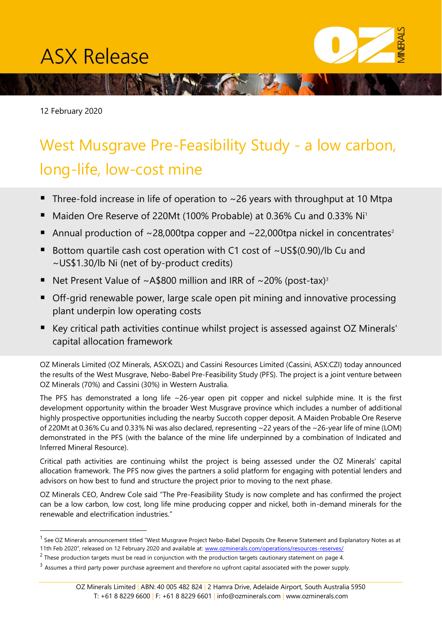# **ASX Release**

12 February 2020

## West Musgrave Pre-Feasibility Study - a low carbon, long-life, low-cost mine

When you have the state of the state

- $\blacksquare$  Three-fold increase in life of operation to ~26 years with throughput at 10 Mtpa
- Maiden Ore Reserve of 220Mt (100% Probable) at 0.36% Cu and 0.33% Ni<sup>1</sup>
- **E** Annual production of  $\sim$ 28,000tpa copper and  $\sim$ 22,000tpa nickel in concentrates<sup>2</sup>
- Bottom quartile cash cost operation with C1 cost of  $\sim$ US\$(0.90)/lb Cu and ~US\$1.30/lb Ni (net of by-product credits)
- Net Present Value of  $\sim$  A\$800 million and IRR of  $\sim$  20% (post-tax)<sup>3</sup>
- Off-grid renewable power, large scale open pit mining and innovative processing plant underpin low operating costs
- Key critical path activities continue whilst project is assessed against OZ Minerals' capital allocation framework

OZ Minerals Limited (OZ Minerals, ASX:OZL) and Cassini Resources Limited (Cassini, ASX:CZI) today announced the results of the West Musgrave, Nebo-Babel Pre-Feasibility Study (PFS). The project is a joint venture between OZ Minerals (70%) and Cassini (30%) in Western Australia.

The PFS has demonstrated a long life ~26-year open pit copper and nickel sulphide mine. It is the first development opportunity within the broader West Musgrave province which includes a number of additional highly prospective opportunities including the nearby Succoth copper deposit. A Maiden Probable Ore Reserve of 220Mt at 0.36% Cu and 0.33% Ni was also declared, representing ~22 years of the ~26-year life of mine (LOM) demonstrated in the PFS (with the balance of the mine life underpinned by a combination of Indicated and Inferred Mineral Resource).

Critical path activities are continuing whilst the project is being assessed under the OZ Minerals' capital allocation framework. The PFS now gives the partners a solid platform for engaging with potential lenders and advisors on how best to fund and structure the project prior to moving to the next phase.

OZ Minerals CEO, Andrew Cole said "The Pre-Feasibility Study is now complete and has confirmed the project can be a low carbon, low cost, long life mine producing copper and nickel, both in-demand minerals for the renewable and electrification industries."

<sup>&</sup>lt;sup>1</sup> See OZ Minerals announcement titled "West Musgrave Project Nebo-Babel Deposits Ore Reserve Statement and Explanatory Notes as at 11th Feb 2020", released on 12 February 2020 and available at: [www.ozminerals.com/operations/resources-reserves/](http://www.ozminerals.com/operations/resources-reserves/)

 $^2$  These production targets must be read in conjunction with the production targets cautionary statement on page 4.

 $3$  Assumes a third party power purchase agreement and therefore no upfront capital associated with the power supply.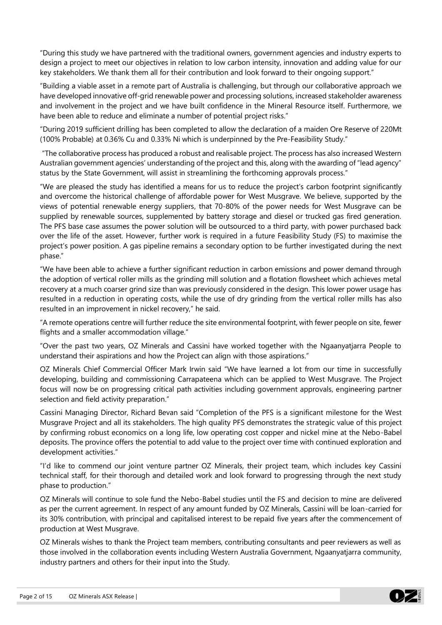"During this study we have partnered with the traditional owners, government agencies and industry experts to design a project to meet our objectives in relation to low carbon intensity, innovation and adding value for our key stakeholders. We thank them all for their contribution and look forward to their ongoing support."

"Building a viable asset in a remote part of Australia is challenging, but through our collaborative approach we have developed innovative off-grid renewable power and processing solutions, increased stakeholder awareness and involvement in the project and we have built confidence in the Mineral Resource itself. Furthermore, we have been able to reduce and eliminate a number of potential project risks."

"During 2019 sufficient drilling has been completed to allow the declaration of a maiden Ore Reserve of 220Mt (100% Probable) at 0.36% Cu and 0.33% Ni which is underpinned by the Pre-Feasibility Study."

"The collaborative process has produced a robust and realisable project. The process has also increased Western Australian government agencies' understanding of the project and this, along with the awarding of "lead agency" status by the State Government, will assist in streamlining the forthcoming approvals process."

"We are pleased the study has identified a means for us to reduce the project's carbon footprint significantly and overcome the historical challenge of affordable power for West Musgrave. We believe, supported by the views of potential renewable energy suppliers, that 70-80% of the power needs for West Musgrave can be supplied by renewable sources, supplemented by battery storage and diesel or trucked gas fired generation. The PFS base case assumes the power solution will be outsourced to a third party, with power purchased back over the life of the asset. However, further work is required in a future Feasibility Study (FS) to maximise the project's power position. A gas pipeline remains a secondary option to be further investigated during the next phase."

"We have been able to achieve a further significant reduction in carbon emissions and power demand through the adoption of vertical roller mills as the grinding mill solution and a flotation flowsheet which achieves metal recovery at a much coarser grind size than was previously considered in the design. This lower power usage has resulted in a reduction in operating costs, while the use of dry grinding from the vertical roller mills has also resulted in an improvement in nickel recovery," he said.

"A remote operations centre will further reduce the site environmental footprint, with fewer people on site, fewer flights and a smaller accommodation village."

"Over the past two years, OZ Minerals and Cassini have worked together with the Ngaanyatjarra People to understand their aspirations and how the Project can align with those aspirations."

OZ Minerals Chief Commercial Officer Mark Irwin said "We have learned a lot from our time in successfully developing, building and commissioning Carrapateena which can be applied to West Musgrave. The Project focus will now be on progressing critical path activities including government approvals, engineering partner selection and field activity preparation."

Cassini Managing Director, Richard Bevan said "Completion of the PFS is a significant milestone for the West Musgrave Project and all its stakeholders. The high quality PFS demonstrates the strategic value of this project by confirming robust economics on a long life, low operating cost copper and nickel mine at the Nebo-Babel deposits. The province offers the potential to add value to the project over time with continued exploration and development activities."

"I'd like to commend our joint venture partner OZ Minerals, their project team, which includes key Cassini technical staff, for their thorough and detailed work and look forward to progressing through the next study phase to production."

OZ Minerals will continue to sole fund the Nebo-Babel studies until the FS and decision to mine are delivered as per the current agreement. In respect of any amount funded by OZ Minerals, Cassini will be loan-carried for its 30% contribution, with principal and capitalised interest to be repaid five years after the commencement of production at West Musgrave.

OZ Minerals wishes to thank the Project team members, contributing consultants and peer reviewers as well as those involved in the collaboration events including Western Australia Government, Ngaanyatjarra community, industry partners and others for their input into the Study.

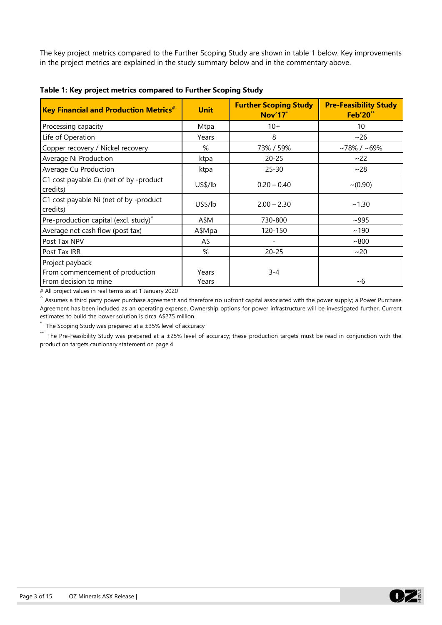The key project metrics compared to the Further Scoping Study are shown in table 1 below. Key improvements in the project metrics are explained in the study summary below and in the commentary above.

| <b>Key Financial and Production Metrics<sup>#</sup></b> | <b>Unit</b> | <b>Further Scoping Study</b><br><b>Nov'17<sup>*</sup></b> | <b>Pre-Feasibility Study</b><br><b>Feb'20**</b> |  |  |
|---------------------------------------------------------|-------------|-----------------------------------------------------------|-------------------------------------------------|--|--|
| Processing capacity                                     | Mtpa        | $10+$                                                     | 10                                              |  |  |
| Life of Operation                                       | Years       | 8                                                         | ~26                                             |  |  |
| Copper recovery / Nickel recovery                       | %           | 73% / 59%                                                 | $~178\%$ / ~69%                                 |  |  |
| Average Ni Production                                   | ktpa        | $20 - 25$                                                 | ~22                                             |  |  |
| Average Cu Production                                   | ktpa        | $25 - 30$                                                 | ~28                                             |  |  |
| C1 cost payable Cu (net of by -product<br>credits)      | US\$/lb     | $0.20 - 0.40$                                             | $\sim (0.90)$                                   |  |  |
| C1 cost payable Ni (net of by -product<br>credits)      | US\$/lb     | $2.00 - 2.30$                                             | ~1.30                                           |  |  |
| Pre-production capital (excl. study) <sup>^</sup>       | A\$M        | 730-800                                                   | ~1005                                           |  |  |
| Average net cash flow (post tax)                        | A\$Mpa      | 120-150                                                   | ~190                                            |  |  |
| Post Tax NPV                                            | A\$         |                                                           | ~100                                            |  |  |
| Post Tax IRR                                            | %           | $20 - 25$                                                 | ~20                                             |  |  |
| Project payback                                         |             |                                                           |                                                 |  |  |
| From commencement of production                         | Years       | $3 - 4$                                                   |                                                 |  |  |
| From decision to mine                                   | Years       |                                                           | ~10                                             |  |  |

**Table 1: Key project metrics compared to Further Scoping Study** 

# All project values in real terms as at 1 January 2020

 $\hat{\ }$  Assumes a third party power purchase agreement and therefore no upfront capital associated with the power supply; a Power Purchase Agreement has been included as an operating expense. Ownership options for power infrastructure will be investigated further. Current estimates to build the power solution is circa A\$275 million.

The Scoping Study was prepared at a  $\pm 35\%$  level of accuracy

\*\* The Pre-Feasibility Study was prepared at a ±25% level of accuracy; these production targets must be read in conjunction with the production targets cautionary statement on page 4

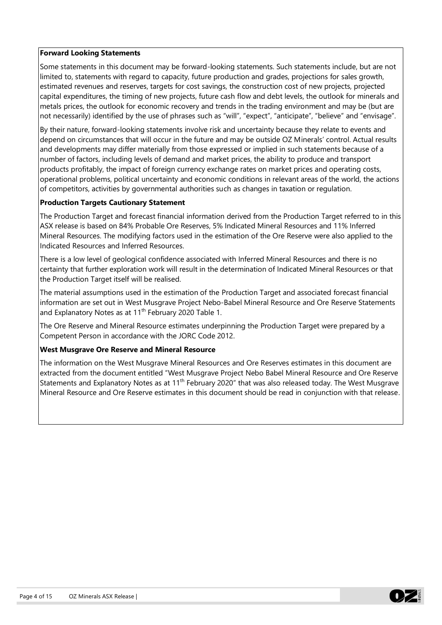#### **Forward Looking Statements**

Some statements in this document may be forward-looking statements. Such statements include, but are not limited to, statements with regard to capacity, future production and grades, projections for sales growth, estimated revenues and reserves, targets for cost savings, the construction cost of new projects, projected capital expenditures, the timing of new projects, future cash flow and debt levels, the outlook for minerals and metals prices, the outlook for economic recovery and trends in the trading environment and may be (but are not necessarily) identified by the use of phrases such as "will", "expect", "anticipate", "believe" and "envisage".

By their nature, forward-looking statements involve risk and uncertainty because they relate to events and depend on circumstances that will occur in the future and may be outside OZ Minerals' control. Actual results and developments may differ materially from those expressed or implied in such statements because of a number of factors, including levels of demand and market prices, the ability to produce and transport products profitably, the impact of foreign currency exchange rates on market prices and operating costs, operational problems, political uncertainty and economic conditions in relevant areas of the world, the actions of competitors, activities by governmental authorities such as changes in taxation or regulation.

## **Production Targets Cautionary Statement**

The Production Target and forecast financial information derived from the Production Target referred to in this ASX release is based on 84% Probable Ore Reserves, 5% Indicated Mineral Resources and 11% Inferred Mineral Resources. The modifying factors used in the estimation of the Ore Reserve were also applied to the Indicated Resources and Inferred Resources.

There is a low level of geological confidence associated with Inferred Mineral Resources and there is no certainty that further exploration work will result in the determination of Indicated Mineral Resources or that the Production Target itself will be realised.

The material assumptions used in the estimation of the Production Target and associated forecast financial information are set out in West Musgrave Project Nebo-Babel Mineral Resource and Ore Reserve Statements and Explanatory Notes as at 11<sup>th</sup> February 2020 Table 1.

The Ore Reserve and Mineral Resource estimates underpinning the Production Target were prepared by a Competent Person in accordance with the JORC Code 2012.

## **West Musgrave Ore Reserve and Mineral Resource**

The information on the West Musgrave Mineral Resources and Ore Reserves estimates in this document are extracted from the document entitled "West Musgrave Project Nebo Babel Mineral Resource and Ore Reserve Statements and Explanatory Notes as at 11<sup>th</sup> February 2020" that was also released today. The West Musgrave Mineral Resource and Ore Reserve estimates in this document should be read in conjunction with that release.

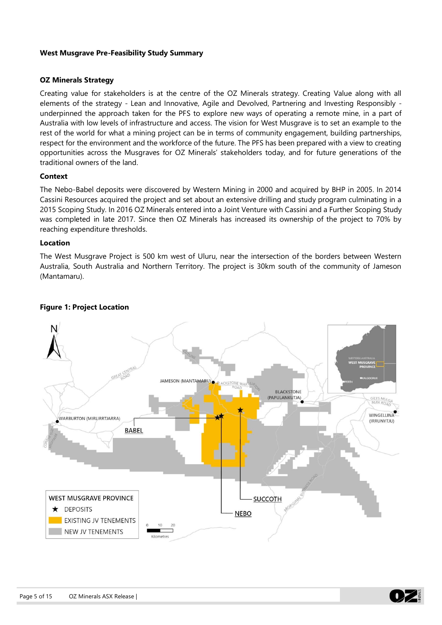## **West Musgrave Pre-Feasibility Study Summary**

#### **OZ Minerals Strategy**

Creating value for stakeholders is at the centre of the OZ Minerals strategy. Creating Value along with all elements of the strategy - Lean and Innovative, Agile and Devolved, Partnering and Investing Responsibly underpinned the approach taken for the PFS to explore new ways of operating a remote mine, in a part of Australia with low levels of infrastructure and access. The vision for West Musgrave is to set an example to the rest of the world for what a mining project can be in terms of community engagement, building partnerships, respect for the environment and the workforce of the future. The PFS has been prepared with a view to creating opportunities across the Musgraves for OZ Minerals' stakeholders today, and for future generations of the traditional owners of the land.

## **Context**

The Nebo-Babel deposits were discovered by Western Mining in 2000 and acquired by BHP in 2005. In 2014 Cassini Resources acquired the project and set about an extensive drilling and study program culminating in a 2015 Scoping Study. In 2016 OZ Minerals entered into a Joint Venture with Cassini and a Further Scoping Study was completed in late 2017. Since then OZ Minerals has increased its ownership of the project to 70% by reaching expenditure thresholds.

#### **Location**

The West Musgrave Project is 500 km west of Uluru, near the intersection of the borders between Western Australia, South Australia and Northern Territory. The project is 30km south of the community of Jameson (Mantamaru).



## **Figure 1: Project Location**

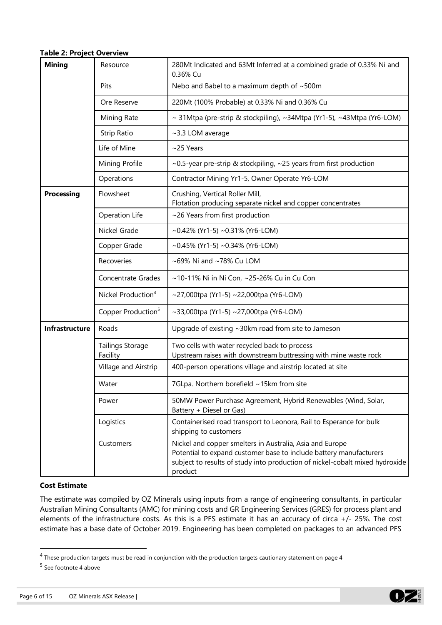#### **Table 2: Project Overview**

| <b>Mining</b>     | Resource                            | 280Mt Indicated and 63Mt Inferred at a combined grade of 0.33% Ni and<br>0.36% Cu                                                                                                                                         |  |  |  |  |  |
|-------------------|-------------------------------------|---------------------------------------------------------------------------------------------------------------------------------------------------------------------------------------------------------------------------|--|--|--|--|--|
|                   | Pits                                | Nebo and Babel to a maximum depth of ~500m                                                                                                                                                                                |  |  |  |  |  |
|                   | Ore Reserve                         | 220Mt (100% Probable) at 0.33% Ni and 0.36% Cu                                                                                                                                                                            |  |  |  |  |  |
|                   | Mining Rate                         | ~ 31Mtpa (pre-strip & stockpiling), ~34Mtpa (Yr1-5), ~43Mtpa (Yr6-LOM)                                                                                                                                                    |  |  |  |  |  |
|                   | <b>Strip Ratio</b>                  | ~3.3 LOM average                                                                                                                                                                                                          |  |  |  |  |  |
|                   | Life of Mine                        | $~25$ Years                                                                                                                                                                                                               |  |  |  |  |  |
|                   | Mining Profile                      | ~0.5-year pre-strip & stockpiling, ~25 years from first production                                                                                                                                                        |  |  |  |  |  |
|                   | Operations                          | Contractor Mining Yr1-5, Owner Operate Yr6-LOM                                                                                                                                                                            |  |  |  |  |  |
| <b>Processing</b> | Flowsheet                           | Crushing, Vertical Roller Mill,<br>Flotation producing separate nickel and copper concentrates                                                                                                                            |  |  |  |  |  |
|                   | Operation Life                      | ~26 Years from first production                                                                                                                                                                                           |  |  |  |  |  |
|                   | Nickel Grade                        | ~0.42% (Yr1-5) ~0.31% (Yr6-LOM)                                                                                                                                                                                           |  |  |  |  |  |
|                   | Copper Grade                        | $\sim$ 0.45% (Yr1-5) $\sim$ 0.34% (Yr6-LOM)                                                                                                                                                                               |  |  |  |  |  |
|                   | Recoveries                          | ~69% Ni and ~78% Cu LOM                                                                                                                                                                                                   |  |  |  |  |  |
|                   | <b>Concentrate Grades</b>           | ~10-11% Ni in Ni Con, ~25-26% Cu in Cu Con                                                                                                                                                                                |  |  |  |  |  |
|                   | Nickel Production <sup>4</sup>      | ~27,000tpa (Yr1-5) ~22,000tpa (Yr6-LOM)                                                                                                                                                                                   |  |  |  |  |  |
|                   | Copper Production <sup>5</sup>      | ~33,000tpa (Yr1-5) ~27,000tpa (Yr6-LOM)                                                                                                                                                                                   |  |  |  |  |  |
| Infrastructure    | Roads                               | Upgrade of existing ~30km road from site to Jameson                                                                                                                                                                       |  |  |  |  |  |
|                   | <b>Tailings Storage</b><br>Facility | Two cells with water recycled back to process<br>Upstream raises with downstream buttressing with mine waste rock                                                                                                         |  |  |  |  |  |
|                   | Village and Airstrip                | 400-person operations village and airstrip located at site                                                                                                                                                                |  |  |  |  |  |
|                   | Water                               | 7GLpa. Northern borefield ~15km from site                                                                                                                                                                                 |  |  |  |  |  |
|                   | Power                               | 50MW Power Purchase Agreement, Hybrid Renewables (Wind, Solar,<br>Battery + Diesel or Gas)                                                                                                                                |  |  |  |  |  |
|                   | Logistics                           | Containerised road transport to Leonora, Rail to Esperance for bulk<br>shipping to customers                                                                                                                              |  |  |  |  |  |
|                   | Customers                           | Nickel and copper smelters in Australia, Asia and Europe<br>Potential to expand customer base to include battery manufacturers<br>subject to results of study into production of nickel-cobalt mixed hydroxide<br>product |  |  |  |  |  |

#### **Cost Estimate**

The estimate was compiled by OZ Minerals using inputs from a range of engineering consultants, in particular Australian Mining Consultants (AMC) for mining costs and GR Engineering Services (GRES) for process plant and elements of the infrastructure costs. As this is a PFS estimate it has an accuracy of circa +/- 25%. The cost estimate has a base date of October 2019. Engineering has been completed on packages to an advanced PFS



 $<sup>4</sup>$  These production targets must be read in conjunction with the production targets cautionary statement on page 4</sup>

<sup>&</sup>lt;sup>5</sup> See footnote 4 above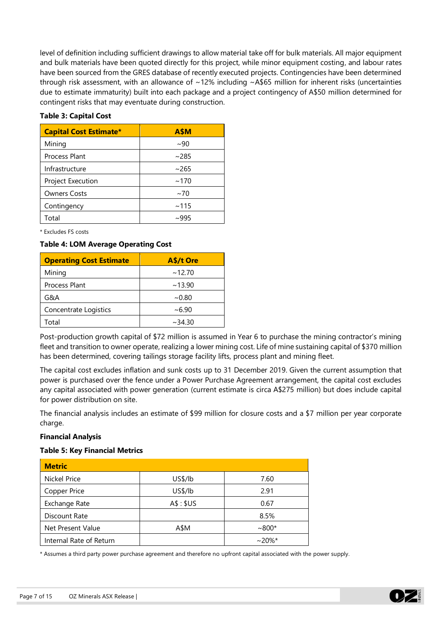level of definition including sufficient drawings to allow material take off for bulk materials. All major equipment and bulk materials have been quoted directly for this project, while minor equipment costing, and labour rates have been sourced from the GRES database of recently executed projects. Contingencies have been determined through risk assessment, with an allowance of ~12% including ~A\$65 million for inherent risks (uncertainties due to estimate immaturity) built into each package and a project contingency of A\$50 million determined for contingent risks that may eventuate during construction.

#### **Table 3: Capital Cost**

| <b>Capital Cost Estimate*</b> | <b>A\$M</b> |
|-------------------------------|-------------|
| Mining                        | ~100        |
| <b>Process Plant</b>          | ~285        |
| Infrastructure                | ~265        |
| Project Execution             | ~170        |
| <b>Owners Costs</b>           | $~1$ ~70    |
| Contingency                   | ~115        |
| Total                         | ~995        |

\* Excludes FS costs

#### **Table 4: LOM Average Operating Cost**

| <b>Operating Cost Estimate</b> | A\$/t Ore |
|--------------------------------|-----------|
| Mining                         | ~12.70    |
| Process Plant                  | ~13.90    |
| G&A                            | ~10.80    |
| Concentrate Logistics          | ~100      |
| Total                          | ~234.30   |

Post-production growth capital of \$72 million is assumed in Year 6 to purchase the mining contractor's mining fleet and transition to owner operate, realizing a lower mining cost. Life of mine sustaining capital of \$370 million has been determined, covering tailings storage facility lifts, process plant and mining fleet.

The capital cost excludes inflation and sunk costs up to 31 December 2019. Given the current assumption that power is purchased over the fence under a Power Purchase Agreement arrangement, the capital cost excludes any capital associated with power generation (current estimate is circa A\$275 million) but does include capital for power distribution on site.

The financial analysis includes an estimate of \$99 million for closure costs and a \$7 million per year corporate charge.

#### **Financial Analysis**

#### **Table 5: Key Financial Metrics**

| <b>Metric</b>           |           |           |
|-------------------------|-----------|-----------|
| <b>Nickel Price</b>     | US\$/lb   | 7.60      |
| Copper Price            | US\$/lb   | 2.91      |
| Exchange Rate           | A\$: \$US | 0.67      |
| Discount Rate           |           | 8.5%      |
| Net Present Value       | A\$M      | $~1800*$  |
| Internal Rate of Return |           | $~20\%$ * |

\* Assumes a third party power purchase agreement and therefore no upfront capital associated with the power supply.

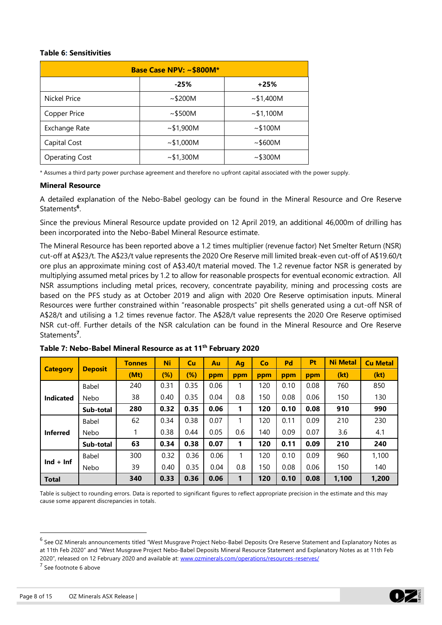#### **Table 6: Sensitivities**

| Base Case NPV: ~ \$800M* |         |                     |  |  |  |  |
|--------------------------|---------|---------------------|--|--|--|--|
|                          | $-25%$  | $+25%$              |  |  |  |  |
| Nickel Price             | ~100    | ~1,400M             |  |  |  |  |
| Copper Price             | ~100    | ~1,100M             |  |  |  |  |
| Exchange Rate            | ~1,900M | ~100M               |  |  |  |  |
| Capital Cost             | ~1,000M | ~1000M              |  |  |  |  |
| <b>Operating Cost</b>    | ~1,300M | $~100$ $$\sim$300M$ |  |  |  |  |

\* Assumes a third party power purchase agreement and therefore no upfront capital associated with the power supply.

#### **Mineral Resource**

A detailed explanation of the Nebo-Babel geology can be found in the Mineral Resource and Ore Reserve Statements**<sup>6</sup>** .

Since the previous Mineral Resource update provided on 12 April 2019, an additional 46,000m of drilling has been incorporated into the Nebo-Babel Mineral Resource estimate.

The Mineral Resource has been reported above a 1.2 times multiplier (revenue factor) Net Smelter Return (NSR) cut-off at A\$23/t. The A\$23/t value represents the 2020 Ore Reserve mill limited break-even cut-off of A\$19.60/t ore plus an approximate mining cost of A\$3.40/t material moved. The 1.2 revenue factor NSR is generated by multiplying assumed metal prices by 1.2 to allow for reasonable prospects for eventual economic extraction. All NSR assumptions including metal prices, recovery, concentrate payability, mining and processing costs are based on the PFS study as at October 2019 and align with 2020 Ore Reserve optimisation inputs. Mineral Resources were further constrained within "reasonable prospects" pit shells generated using a cut-off NSR of A\$28/t and utilising a 1.2 times revenue factor. The A\$28/t value represents the 2020 Ore Reserve optimised NSR cut-off. Further details of the NSR calculation can be found in the Mineral Resource and Ore Reserve Statements**<sup>7</sup>** .

|                  |                | <b>Tonnes</b> | Ni     | cu   | Au   | Ag  | <b>Co</b> | Pd   | Pt   | <b>Ni Metal</b> | <b>Cu Metal</b> |
|------------------|----------------|---------------|--------|------|------|-----|-----------|------|------|-----------------|-----------------|
| <b>Category</b>  | <b>Deposit</b> | (Mt)          | $(\%)$ | (%)  | ppm  | ppm | ppm       | ppm  | ppm  | (kt)            | (kt)            |
|                  | <b>Babel</b>   | 240           | 0.31   | 0.35 | 0.06 |     | 120       | 0.10 | 0.08 | 760             | 850             |
| <b>Indicated</b> | Nebo           | 38            | 0.40   | 0.35 | 0.04 | 0.8 | 150       | 0.08 | 0.06 | 150             | 130             |
|                  | Sub-total      | 280           | 0.32   | 0.35 | 0.06 | 1   | 120       | 0.10 | 0.08 | 910             | 990             |
|                  | <b>Babel</b>   | 62            | 0.34   | 0.38 | 0.07 |     | 120       | 0.11 | 0.09 | 210             | 230             |
| <b>Inferred</b>  | Nebo           |               | 0.38   | 0.44 | 0.05 | 0.6 | 140       | 0.09 | 0.07 | 3.6             | 4.1             |
|                  | Sub-total      | 63            | 0.34   | 0.38 | 0.07 | 1   | 120       | 0.11 | 0.09 | 210             | 240             |
|                  | <b>Babel</b>   | 300           | 0.32   | 0.36 | 0.06 |     | 120       | 0.10 | 0.09 | 960             | 1,100           |
| $Ind + Inf$      | Nebo           | 39            | 0.40   | 0.35 | 0.04 | 0.8 | 150       | 0.08 | 0.06 | 150             | 140             |
| <b>Total</b>     |                | 340           | 0.33   | 0.36 | 0.06 | 1   | 120       | 0.10 | 0.08 | 1,100           | 1,200           |

**Table 7: Nebo-Babel Mineral Resource as at 11th February 2020**

Table is subject to rounding errors. Data is reported to significant figures to reflect appropriate precision in the estimate and this may cause some apparent discrepancies in totals.



<sup>&</sup>lt;sup>6</sup> See OZ Minerals announcements titled "West Musgrave Project Nebo-Babel Deposits Ore Reserve Statement and Explanatory Notes as at 11th Feb 2020" and "West Musgrave Project Nebo-Babel Deposits Mineral Resource Statement and Explanatory Notes as at 11th Feb 2020", released on 12 February 2020 and available at: [www.ozminerals.com/operations/resources-reserves/](http://www.ozminerals.com/operations/resources-reserves/)

<sup>&</sup>lt;sup>7</sup> See footnote 6 above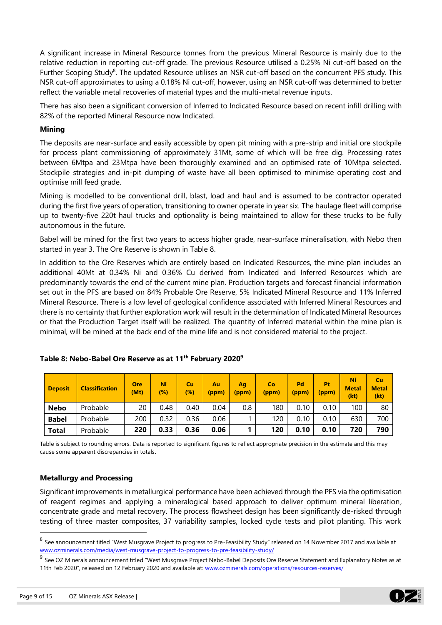A significant increase in Mineral Resource tonnes from the previous Mineral Resource is mainly due to the relative reduction in reporting cut-off grade. The previous Resource utilised a 0.25% Ni cut-off based on the Further Scoping Study<sup>8</sup>. The updated Resource utilises an NSR cut-off based on the concurrent PFS study. This NSR cut-off approximates to using a 0.18% Ni cut-off, however, using an NSR cut-off was determined to better reflect the variable metal recoveries of material types and the multi-metal revenue inputs.

There has also been a significant conversion of Inferred to Indicated Resource based on recent infill drilling with 82% of the reported Mineral Resource now Indicated.

## **Mining**

The deposits are near-surface and easily accessible by open pit mining with a pre-strip and initial ore stockpile for process plant commissioning of approximately 31Mt, some of which will be free dig. Processing rates between 6Mtpa and 23Mtpa have been thoroughly examined and an optimised rate of 10Mtpa selected. Stockpile strategies and in-pit dumping of waste have all been optimised to minimise operating cost and optimise mill feed grade.

Mining is modelled to be conventional drill, blast, load and haul and is assumed to be contractor operated during the first five years of operation, transitioning to owner operate in year six. The haulage fleet will comprise up to twenty-five 220t haul trucks and optionality is being maintained to allow for these trucks to be fully autonomous in the future.

Babel will be mined for the first two years to access higher grade, near-surface mineralisation, with Nebo then started in year 3. The Ore Reserve is shown in Table 8.

In addition to the Ore Reserves which are entirely based on Indicated Resources, the mine plan includes an additional 40Mt at 0.34% Ni and 0.36% Cu derived from Indicated and Inferred Resources which are predominantly towards the end of the current mine plan. Production targets and forecast financial information set out in the PFS are based on 84% Probable Ore Reserve, 5% Indicated Mineral Resource and 11% Inferred Mineral Resource. There is a low level of geological confidence associated with Inferred Mineral Resources and there is no certainty that further exploration work will result in the determination of Indicated Mineral Resources or that the Production Target itself will be realized. The quantity of Inferred material within the mine plan is minimal, will be mined at the back end of the mine life and is not considered material to the project.

| <b>Deposit</b> | <b>Classification</b> | <b>Ore</b><br>(Mt) | Ni<br>$(\%)$ | Cu<br>$(\%)$ | Au.<br>(ppm) | Aq<br>(ppm) | Co<br>(ppm) | Pd<br>(ppm) | Pt<br>(ppm) | Ni<br><b>Metal</b><br>(kt) | Cu<br><b>Metal</b><br>(kt) |
|----------------|-----------------------|--------------------|--------------|--------------|--------------|-------------|-------------|-------------|-------------|----------------------------|----------------------------|
| <b>Nebo</b>    | Probable              | 20                 | 0.48         | 0.40         | 0.04         | $0.8\,$     | 180         | 0.10        | 0.10        | 100                        | 80                         |
| <b>Babel</b>   | Probable              | 200                | 0.32         | 0.36         | 0.06         |             | 120         | 0.10        | 0.10        | 630                        | 700                        |
| Total          | Probable              | 220                | 0.33         | 0.36         | 0.06         |             | 120         | 0.10        | 0.10        | 720                        | 790                        |

## **Table 8: Nebo-Babel Ore Reserve as at 11th February 2020<sup>9</sup>**

Table is subject to rounding errors. Data is reported to significant figures to reflect appropriate precision in the estimate and this may cause some apparent discrepancies in totals.

## **Metallurgy and Processing**

Significant improvements in metallurgical performance have been achieved through the PFS via the optimisation of reagent regimes and applying a mineralogical based approach to deliver optimum mineral liberation, concentrate grade and metal recovery. The process flowsheet design has been significantly de-risked through testing of three master composites, 37 variability samples, locked cycle tests and pilot planting. This work



<sup>&</sup>lt;sup>8</sup> See announcement titled "West Musgrave Project to progress to Pre-Feasibility Study" released on 14 November 2017 and available at [www.ozminerals.com/media/west-musgrave-project-to-progress-to-pre-feasibility-study/](http://www.ozminerals.com/media/west-musgrave-project-to-progress-to-pre-feasibility-study/)

<sup>&</sup>lt;sup>9</sup> See OZ Minerals announcement titled "West Musgrave Project Nebo-Babel Deposits Ore Reserve Statement and Explanatory Notes as at 11th Feb 2020", released on 12 February 2020 and available at[: www.ozminerals.com/operations/resources-reserves/](http://www.ozminerals.com/operations/resources-reserves/)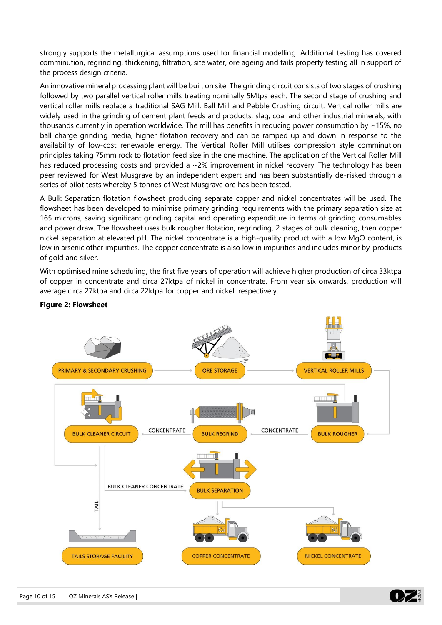strongly supports the metallurgical assumptions used for financial modelling. Additional testing has covered comminution, regrinding, thickening, filtration, site water, ore ageing and tails property testing all in support of the process design criteria.

An innovative mineral processing plant will be built on site. The grinding circuit consists of two stages of crushing followed by two parallel vertical roller mills treating nominally 5Mtpa each. The second stage of crushing and vertical roller mills replace a traditional SAG Mill, Ball Mill and Pebble Crushing circuit. Vertical roller mills are widely used in the grinding of cement plant feeds and products, slag, coal and other industrial minerals, with thousands currently in operation worldwide. The mill has benefits in reducing power consumption by ~15%, no ball charge grinding media, higher flotation recovery and can be ramped up and down in response to the availability of low-cost renewable energy. The Vertical Roller Mill utilises compression style comminution principles taking 75mm rock to flotation feed size in the one machine. The application of the Vertical Roller Mill has reduced processing costs and provided a  $\sim$  2% improvement in nickel recovery. The technology has been peer reviewed for West Musgrave by an independent expert and has been substantially de-risked through a series of pilot tests whereby 5 tonnes of West Musgrave ore has been tested.

A Bulk Separation flotation flowsheet producing separate copper and nickel concentrates will be used. The flowsheet has been developed to minimise primary grinding requirements with the primary separation size at 165 microns, saving significant grinding capital and operating expenditure in terms of grinding consumables and power draw. The flowsheet uses bulk rougher flotation, regrinding, 2 stages of bulk cleaning, then copper nickel separation at elevated pH. The nickel concentrate is a high-quality product with a low MgO content, is low in arsenic other impurities. The copper concentrate is also low in impurities and includes minor by-products of gold and silver.

With optimised mine scheduling, the first five years of operation will achieve higher production of circa 33ktpa of copper in concentrate and circa 27ktpa of nickel in concentrate. From year six onwards, production will average circa 27ktpa and circa 22ktpa for copper and nickel, respectively.



## **Figure 2: Flowsheet**

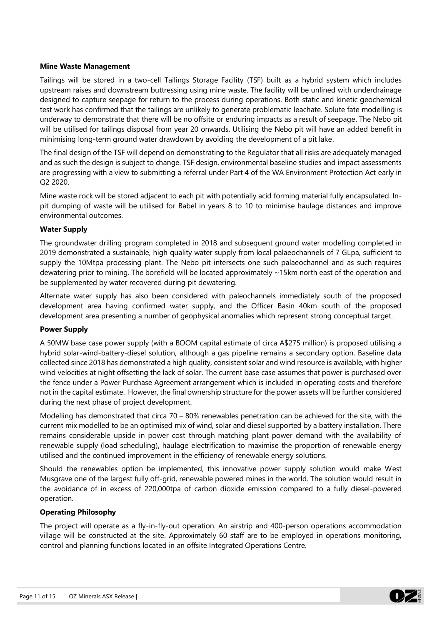## **Mine Waste Management**

Tailings will be stored in a two-cell Tailings Storage Facility (TSF) built as a hybrid system which includes upstream raises and downstream buttressing using mine waste. The facility will be unlined with underdrainage designed to capture seepage for return to the process during operations. Both static and kinetic geochemical test work has confirmed that the tailings are unlikely to generate problematic leachate. Solute fate modelling is underway to demonstrate that there will be no offsite or enduring impacts as a result of seepage. The Nebo pit will be utilised for tailings disposal from year 20 onwards. Utilising the Nebo pit will have an added benefit in minimising long-term ground water drawdown by avoiding the development of a pit lake.

The final design of the TSF will depend on demonstrating to the Regulator that all risks are adequately managed and as such the design is subject to change. TSF design, environmental baseline studies and impact assessments are progressing with a view to submitting a referral under Part 4 of the WA Environment Protection Act early in Q2 2020.

Mine waste rock will be stored adjacent to each pit with potentially acid forming material fully encapsulated. Inpit dumping of waste will be utilised for Babel in years 8 to 10 to minimise haulage distances and improve environmental outcomes.

## **Water Supply**

The groundwater drilling program completed in 2018 and subsequent ground water modelling completed in 2019 demonstrated a sustainable, high quality water supply from local palaeochannels of 7 GLpa, sufficient to supply the 10Mtpa processing plant. The Nebo pit intersects one such palaeochannel and as such requires dewatering prior to mining. The borefield will be located approximately ~15km north east of the operation and be supplemented by water recovered during pit dewatering.

Alternate water supply has also been considered with paleochannels immediately south of the proposed development area having confirmed water supply, and the Officer Basin 40km south of the proposed development area presenting a number of geophysical anomalies which represent strong conceptual target.

#### **Power Supply**

A 50MW base case power supply (with a BOOM capital estimate of circa A\$275 million) is proposed utilising a hybrid solar-wind-battery-diesel solution, although a gas pipeline remains a secondary option. Baseline data collected since 2018 has demonstrated a high quality, consistent solar and wind resource is available, with higher wind velocities at night offsetting the lack of solar. The current base case assumes that power is purchased over the fence under a Power Purchase Agreement arrangement which is included in operating costs and therefore not in the capital estimate. However, the final ownership structure for the power assets will be further considered during the next phase of project development.

Modelling has demonstrated that circa 70 – 80% renewables penetration can be achieved for the site, with the current mix modelled to be an optimised mix of wind, solar and diesel supported by a battery installation. There remains considerable upside in power cost through matching plant power demand with the availability of renewable supply (load scheduling), haulage electrification to maximise the proportion of renewable energy utilised and the continued improvement in the efficiency of renewable energy solutions.

Should the renewables option be implemented, this innovative power supply solution would make West Musgrave one of the largest fully off-grid, renewable powered mines in the world. The solution would result in the avoidance of in excess of 220,000tpa of carbon dioxide emission compared to a fully diesel-powered operation.

#### **Operating Philosophy**

The project will operate as a fly-in-fly-out operation. An airstrip and 400-person operations accommodation village will be constructed at the site. Approximately 60 staff are to be employed in operations monitoring, control and planning functions located in an offsite Integrated Operations Centre.

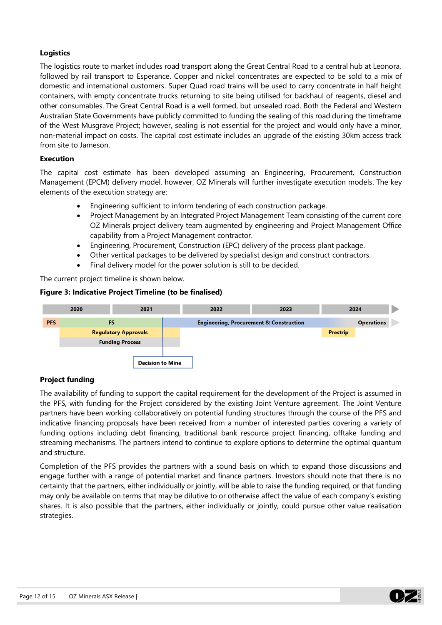## **Logistics**

The logistics route to market includes road transport along the Great Central Road to a central hub at Leonora, followed by rail transport to Esperance. Copper and nickel concentrates are expected to be sold to a mix of domestic and international customers. Super Quad road trains will be used to carry concentrate in half height containers, with empty concentrate trucks returning to site being utilised for backhaul of reagents, diesel and other consumables. The Great Central Road is a well formed, but unsealed road. Both the Federal and Western Australian State Governments have publicly committed to funding the sealing of this road during the timeframe of the West Musgrave Project; however, sealing is not essential for the project and would only have a minor, non-material impact on costs. The capital cost estimate includes an upgrade of the existing 30km access track from site to Jameson.

## **Execution**

The capital cost estimate has been developed assuming an Engineering, Procurement, Construction Management (EPCM) delivery model, however, OZ Minerals will further investigate execution models. The key elements of the execution strategy are:

- Engineering sufficient to inform tendering of each construction package.
- Project Management by an Integrated Project Management Team consisting of the current core OZ Minerals project delivery team augmented by engineering and Project Management Office capability from a Project Management contractor.
- Engineering, Procurement, Construction (EPC) delivery of the process plant package.
- Other vertical packages to be delivered by specialist design and construct contractors.
- Final delivery model for the power solution is still to be decided.

The current project timeline is shown below.

## **Figure 3: Indicative Project Timeline (to be finalised)**



## **Project funding**

The availability of funding to support the capital requirement for the development of the Project is assumed in the PFS, with funding for the Project considered by the existing Joint Venture agreement. The Joint Venture partners have been working collaboratively on potential funding structures through the course of the PFS and indicative financing proposals have been received from a number of interested parties covering a variety of funding options including debt financing, traditional bank resource project financing, offtake funding and streaming mechanisms. The partners intend to continue to explore options to determine the optimal quantum and structure.

Completion of the PFS provides the partners with a sound basis on which to expand those discussions and engage further with a range of potential market and finance partners. Investors should note that there is no certainty that the partners, either individually or jointly, will be able to raise the funding required, or that funding may only be available on terms that may be dilutive to or otherwise affect the value of each company's existing shares. It is also possible that the partners, either individually or jointly, could pursue other value realisation strategies.

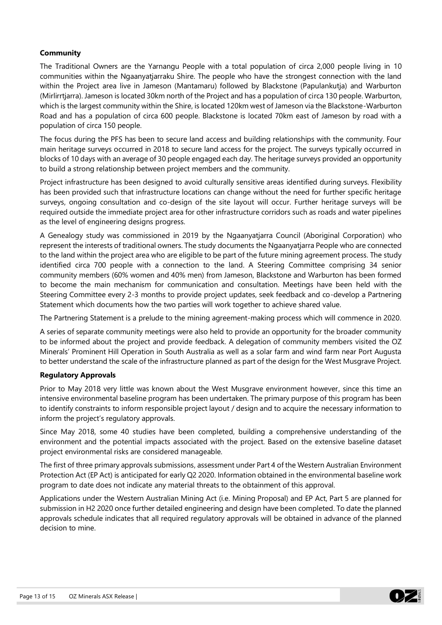## **Community**

The Traditional Owners are the Yarnangu People with a total population of circa 2,000 people living in 10 communities within the Ngaanyatjarraku Shire. The people who have the strongest connection with the land within the Project area live in Jameson (Mantamaru) followed by Blackstone (Papulankutja) and Warburton (Mirlirrtjarra). Jameson is located 30km north of the Project and has a population of circa 130 people. Warburton, which is the largest community within the Shire, is located 120km west of Jameson via the Blackstone-Warburton Road and has a population of circa 600 people. Blackstone is located 70km east of Jameson by road with a population of circa 150 people.

The focus during the PFS has been to secure land access and building relationships with the community. Four main heritage surveys occurred in 2018 to secure land access for the project. The surveys typically occurred in blocks of 10 days with an average of 30 people engaged each day. The heritage surveys provided an opportunity to build a strong relationship between project members and the community.

Project infrastructure has been designed to avoid culturally sensitive areas identified during surveys. Flexibility has been provided such that infrastructure locations can change without the need for further specific heritage surveys, ongoing consultation and co-design of the site layout will occur. Further heritage surveys will be required outside the immediate project area for other infrastructure corridors such as roads and water pipelines as the level of engineering designs progress.

A Genealogy study was commissioned in 2019 by the Ngaanyatjarra Council (Aboriginal Corporation) who represent the interests of traditional owners. The study documents the Ngaanyatjarra People who are connected to the land within the project area who are eligible to be part of the future mining agreement process. The study identified circa 700 people with a connection to the land. A Steering Committee comprising 34 senior community members (60% women and 40% men) from Jameson, Blackstone and Warburton has been formed to become the main mechanism for communication and consultation. Meetings have been held with the Steering Committee every 2-3 months to provide project updates, seek feedback and co-develop a Partnering Statement which documents how the two parties will work together to achieve shared value.

The Partnering Statement is a prelude to the mining agreement-making process which will commence in 2020.

A series of separate community meetings were also held to provide an opportunity for the broader community to be informed about the project and provide feedback. A delegation of community members visited the OZ Minerals' Prominent Hill Operation in South Australia as well as a solar farm and wind farm near Port Augusta to better understand the scale of the infrastructure planned as part of the design for the West Musgrave Project.

#### **Regulatory Approvals**

Prior to May 2018 very little was known about the West Musgrave environment however, since this time an intensive environmental baseline program has been undertaken. The primary purpose of this program has been to identify constraints to inform responsible project layout / design and to acquire the necessary information to inform the project's regulatory approvals.

Since May 2018, some 40 studies have been completed, building a comprehensive understanding of the environment and the potential impacts associated with the project. Based on the extensive baseline dataset project environmental risks are considered manageable.

The first of three primary approvals submissions, assessment under Part 4 of the Western Australian Environment Protection Act (EP Act) is anticipated for early Q2 2020. Information obtained in the environmental baseline work program to date does not indicate any material threats to the obtainment of this approval.

Applications under the Western Australian Mining Act (i.e. Mining Proposal) and EP Act, Part 5 are planned for submission in H2 2020 once further detailed engineering and design have been completed. To date the planned approvals schedule indicates that all required regulatory approvals will be obtained in advance of the planned decision to mine.

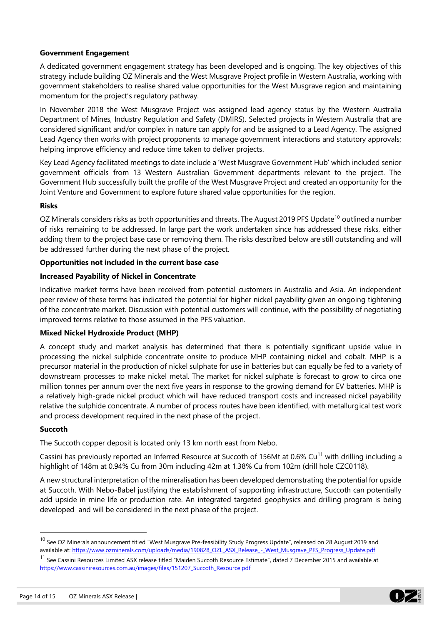## **Government Engagement**

A dedicated government engagement strategy has been developed and is ongoing. The key objectives of this strategy include building OZ Minerals and the West Musgrave Project profile in Western Australia, working with government stakeholders to realise shared value opportunities for the West Musgrave region and maintaining momentum for the project's regulatory pathway.

In November 2018 the West Musgrave Project was assigned lead agency status by the Western Australia Department of Mines, Industry Regulation and Safety (DMIRS). Selected projects in Western Australia that are considered significant and/or complex in nature can apply for and be assigned to a Lead Agency. The assigned Lead Agency then works with project proponents to manage government interactions and statutory approvals; helping improve efficiency and reduce time taken to deliver projects.

Key Lead Agency facilitated meetings to date include a 'West Musgrave Government Hub' which included senior government officials from 13 Western Australian Government departments relevant to the project. The Government Hub successfully built the profile of the West Musgrave Project and created an opportunity for the Joint Venture and Government to explore future shared value opportunities for the region.

#### **Risks**

OZ Minerals considers risks as both opportunities and threats. The August 2019 PFS Update<sup>10</sup> outlined a number of risks remaining to be addressed. In large part the work undertaken since has addressed these risks, either adding them to the project base case or removing them. The risks described below are still outstanding and will be addressed further during the next phase of the project.

## **Opportunities not included in the current base case**

## **Increased Payability of Nickel in Concentrate**

Indicative market terms have been received from potential customers in Australia and Asia. An independent peer review of these terms has indicated the potential for higher nickel payability given an ongoing tightening of the concentrate market. Discussion with potential customers will continue, with the possibility of negotiating improved terms relative to those assumed in the PFS valuation.

#### **Mixed Nickel Hydroxide Product (MHP)**

A concept study and market analysis has determined that there is potentially significant upside value in processing the nickel sulphide concentrate onsite to produce MHP containing nickel and cobalt. MHP is a precursor material in the production of nickel sulphate for use in batteries but can equally be fed to a variety of downstream processes to make nickel metal. The market for nickel sulphate is forecast to grow to circa one million tonnes per annum over the next five years in response to the growing demand for EV batteries. MHP is a relatively high-grade nickel product which will have reduced transport costs and increased nickel payability relative the sulphide concentrate. A number of process routes have been identified, with metallurgical test work and process development required in the next phase of the project.

#### **Succoth**

The Succoth copper deposit is located only 13 km north east from Nebo.

Cassini has previously reported an Inferred Resource at Succoth of 156Mt at 0.6% Cu<sup>11</sup> with drilling including a highlight of 148m at 0.94% Cu from 30m including 42m at 1.38% Cu from 102m (drill hole CZC0118).

A new structural interpretation of the mineralisation has been developed demonstrating the potential for upside at Succoth. With Nebo-Babel justifying the establishment of supporting infrastructure, Succoth can potentially add upside in mine life or production rate. An integrated targeted geophysics and drilling program is being developed and will be considered in the next phase of the project.



<sup>&</sup>lt;sup>10</sup> See OZ Minerals announcement titled "West Musgrave Pre-feasibility Study Progress Update", released on 28 August 2019 and available at: [https://www.ozminerals.com/uploads/media/190828\\_OZL\\_ASX\\_Release\\_-\\_West\\_Musgrave\\_PFS\\_Progress\\_Update.pdf](https://www.ozminerals.com/uploads/media/190828_OZL_ASX_Release_-_West_Musgrave_PFS_Progress_Update.pdf)

<sup>&</sup>lt;sup>11</sup> See Cassini Resources Limited ASX release titled "Maiden Succoth Resource Estimate", dated 7 December 2015 and available at. [https://www.cassiniresources.com.au/images/files/151207\\_Succoth\\_Resource.pdf](https://www.cassiniresources.com.au/images/files/151207_Succoth_Resource.pdf)